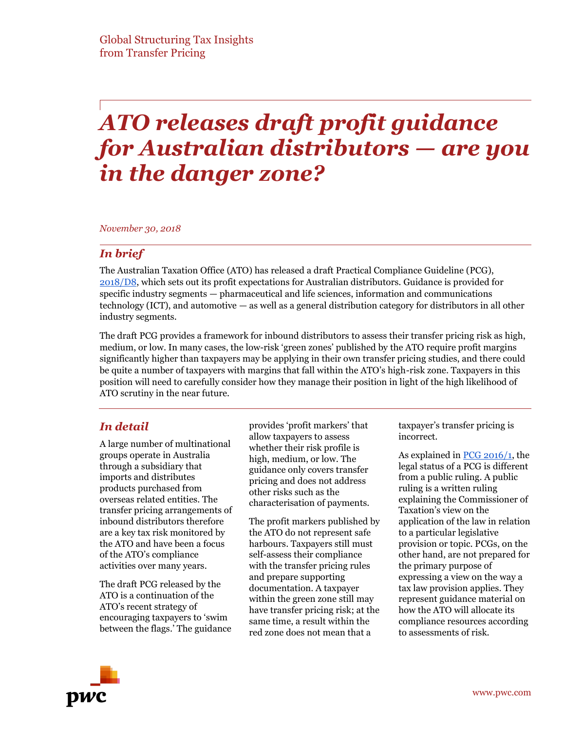# *ATO releases draft profit guidance for Australian distributors — are you in the danger zone?*

*November 30, 2018*

#### *In brief*

The Australian Taxation Office (ATO) has released a draft Practical Compliance Guideline (PCG), [2018/D8,](https://www.ato.gov.au/law/view/document?DocID=DPC/PCG2018D8/NAT/ATO/00001) which sets out its profit expectations for Australian distributors. Guidance is provided for specific industry segments — pharmaceutical and life sciences, information and communications technology (ICT), and automotive — as well as a general distribution category for distributors in all other industry segments.

The draft PCG provides a framework for inbound distributors to assess their transfer pricing risk as high, medium, or low. In many cases, the low-risk 'green zones' published by the ATO require profit margins significantly higher than taxpayers may be applying in their own transfer pricing studies, and there could be quite a number of taxpayers with margins that fall within the ATO's high-risk zone. Taxpayers in this position will need to carefully consider how they manage their position in light of the high likelihood of ATO scrutiny in the near future.

### *In detail*

A large number of multinational groups operate in Australia through a subsidiary that imports and distributes products purchased from overseas related entities. The transfer pricing arrangements of inbound distributors therefore are a key tax risk monitored by the ATO and have been a focus of the ATO's compliance activities over many years.

The draft PCG released by the ATO is a continuation of the ATO's recent strategy of encouraging taxpayers to 'swim between the flags.' The guidance provides 'profit markers' that allow taxpayers to assess whether their risk profile is high, medium, or low. The guidance only covers transfer pricing and does not address other risks such as the characterisation of payments.

The profit markers published by the ATO do not represent safe harbours. Taxpayers still must self-assess their compliance with the transfer pricing rules and prepare supporting documentation. A taxpayer within the green zone still may have transfer pricing risk; at the same time, a result within the red zone does not mean that a

taxpayer's transfer pricing is incorrect.

As explained in [PCG 2016/1,](https://www.ato.gov.au/law/view/document?DocID=COG/PCG20161/NAT/ATO/00001&PiT=99991231235958) the legal status of a PCG is different from a public ruling. A public ruling is a written ruling explaining the Commissioner of Taxation's view on the application of the law in relation to a particular legislative provision or topic. PCGs, on the other hand, are not prepared for the primary purpose of expressing a view on the way a tax law provision applies. They represent guidance material on how the ATO will allocate its compliance resources according to assessments of risk.

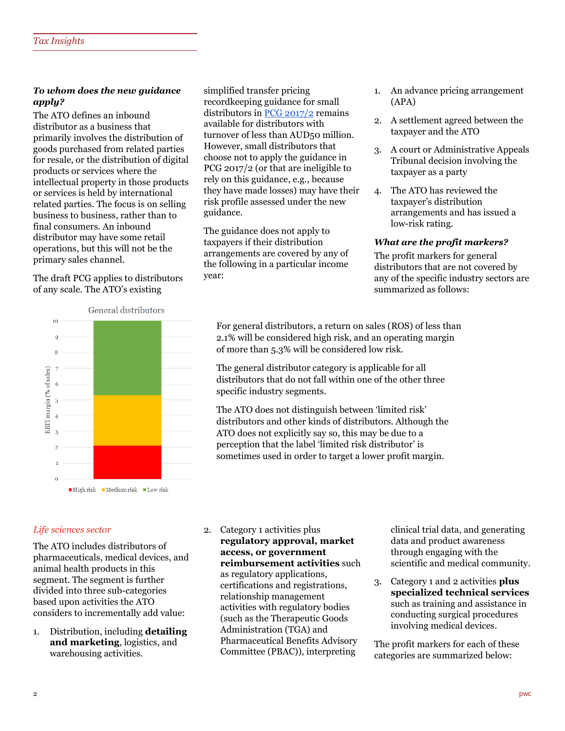#### *To whom does the new guidance apply?*

The ATO defines an inbound distributor as a business that primarily involves the distribution of goods purchased from related parties for resale, or the distribution of digital products or services where the intellectual property in those products or services is held by international related parties. The focus is on selling business to business, rather than to final consumers. An inbound distributor may have some retail operations, but this will not be the primary sales channel.

The draft PCG applies to distributors of any scale. The ATO's existing

simplified transfer pricing recordkeeping guidance for small distributors i[n PCG 2017/2](https://www.ato.gov.au/law/view/document?DocID=COG/PCG20172/NAT/ATO/00001) remains available for distributors with turnover of less than AUD50 million. However, small distributors that choose not to apply the guidance in PCG 2017/2 (or that are ineligible to rely on this guidance, e.g., because they have made losses) may have their risk profile assessed under the new guidance.

The guidance does not apply to taxpayers if their distribution arrangements are covered by any of the following in a particular income year:

- 1. An advance pricing arrangement (APA)
- 2. A settlement agreed between the taxpayer and the ATO
- 3. A court or Administrative Appeals Tribunal decision involving the taxpayer as a party
- 4. The ATO has reviewed the taxpayer's distribution arrangements and has issued a low-risk rating.

#### *What are the profit markers?*

The profit markers for general distributors that are not covered by any of the specific industry sectors are summarized as follows:



For general distributors, a return on sales (ROS) of less than 2.1% will be considered high risk, and an operating margin of more than 5.3% will be considered low risk.

The general distributor category is applicable for all distributors that do not fall within one of the other three specific industry segments.

The ATO does not distinguish between 'limited risk' distributors and other kinds of distributors. Although the ATO does not explicitly say so, this may be due to a perception that the label 'limited risk distributor' is sometimes used in order to target a lower profit margin.

#### *Life sciences sector*

The ATO includes distributors of pharmaceuticals, medical devices, and animal health products in this segment. The segment is further divided into three sub-categories based upon activities the ATO considers to incrementally add value:

1. Distribution, including **detailing and marketing**, logistics, and warehousing activities.

2. Category 1 activities plus **regulatory approval, market access, or government reimbursement activities** such as regulatory applications, certifications and registrations, relationship management activities with regulatory bodies (such as the Therapeutic Goods Administration (TGA) and Pharmaceutical Benefits Advisory Committee (PBAC)), interpreting

clinical trial data, and generating data and product awareness through engaging with the scientific and medical community.

3. Category 1 and 2 activities **plus specialized technical services** such as training and assistance in conducting surgical procedures involving medical devices.

The profit markers for each of these categories are summarized below: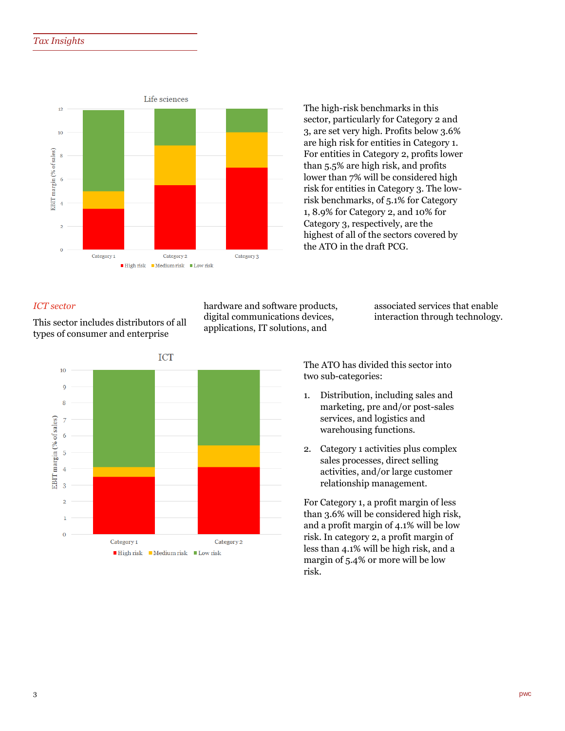

The high-risk benchmarks in this sector, particularly for Category 2 and 3, are set very high. Profits below 3.6% are high risk for entities in Category 1. For entities in Category 2, profits lower than 5.5% are high risk, and profits lower than 7% will be considered high risk for entities in Category 3. The lowrisk benchmarks, of 5.1% for Category 1, 8.9% for Category 2, and 10% for Category 3, respectively, are the highest of all of the sectors covered by the ATO in the draft PCG.

#### *ICT sector*

This sector includes distributors of all types of consumer and enterprise

hardware and software products, digital communications devices, applications, IT solutions, and

associated services that enable interaction through technology.



The ATO has divided this sector into two sub-categories:

- 1. Distribution, including sales and marketing, pre and/or post-sales services, and logistics and warehousing functions.
- 2. Category 1 activities plus complex sales processes, direct selling activities, and/or large customer relationship management.

For Category 1, a profit margin of less than 3.6% will be considered high risk, and a profit margin of 4.1% will be low risk. In category 2, a profit margin of less than 4.1% will be high risk, and a margin of 5.4% or more will be low risk.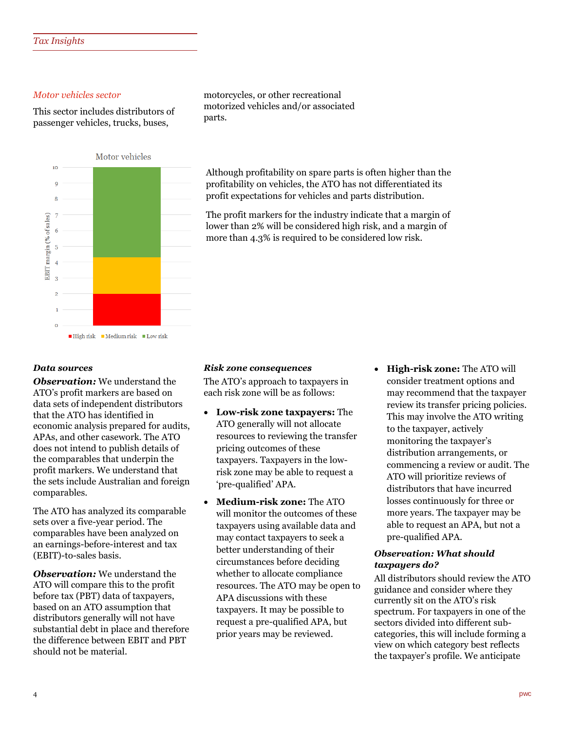#### *Motor vehicles sector*

This sector includes distributors of passenger vehicles, trucks, buses,



motorcycles, or other recreational motorized vehicles and/or associated parts.

Although profitability on spare parts is often higher than the profitability on vehicles, the ATO has not differentiated its profit expectations for vehicles and parts distribution.

The profit markers for the industry indicate that a margin of lower than 2% will be considered high risk, and a margin of more than 4.3% is required to be considered low risk.

#### *Data sources*

*Observation:* We understand the ATO's profit markers are based on data sets of independent distributors that the ATO has identified in economic analysis prepared for audits, APAs, and other casework. The ATO does not intend to publish details of the comparables that underpin the profit markers. We understand that the sets include Australian and foreign comparables.

The ATO has analyzed its comparable sets over a five-year period. The comparables have been analyzed on an earnings-before-interest and tax (EBIT)-to-sales basis.

*Observation:* We understand the ATO will compare this to the profit before tax (PBT) data of taxpayers, based on an ATO assumption that distributors generally will not have substantial debt in place and therefore the difference between EBIT and PBT should not be material.

#### *Risk zone consequences*

The ATO's approach to taxpayers in each risk zone will be as follows:

- **Low-risk zone taxpayers:** The ATO generally will not allocate resources to reviewing the transfer pricing outcomes of these taxpayers. Taxpayers in the lowrisk zone may be able to request a 'pre-qualified' APA.
- **Medium-risk zone:** The ATO will monitor the outcomes of these taxpayers using available data and may contact taxpayers to seek a better understanding of their circumstances before deciding whether to allocate compliance resources. The ATO may be open to APA discussions with these taxpayers. It may be possible to request a pre-qualified APA, but prior years may be reviewed.
- **High-risk zone:** The ATO will consider treatment options and may recommend that the taxpayer review its transfer pricing policies. This may involve the ATO writing to the taxpayer, actively monitoring the taxpayer's distribution arrangements, or commencing a review or audit. The ATO will prioritize reviews of distributors that have incurred losses continuously for three or more years. The taxpayer may be able to request an APA, but not a pre-qualified APA.

#### *Observation: What should taxpayers do?*

All distributors should review the ATO guidance and consider where they currently sit on the ATO's risk spectrum. For taxpayers in one of the sectors divided into different subcategories, this will include forming a view on which category best reflects the taxpayer's profile. We anticipate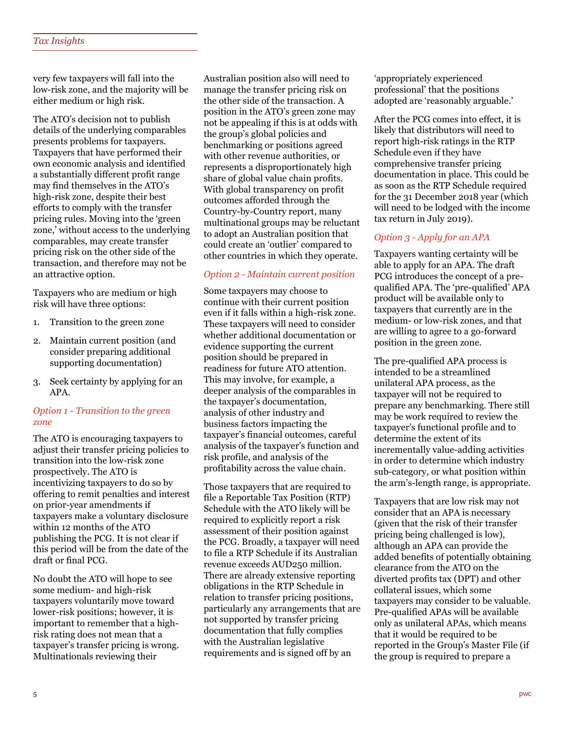very few taxpayers will fall into the low-risk zone, and the majority will be either medium or high risk.

The ATO's decision not to publish details of the underlying comparables presents problems for taxpayers. Taxpayers that have performed their own economic analysis and identified a substantially different profit range may find themselves in the ATO's high-risk zone, despite their best efforts to comply with the transfer pricing rules. Moving into the 'green zone,' without access to the underlying comparables, may create transfer pricing risk on the other side of the transaction, and therefore may not be an attractive option.

Taxpayers who are medium or high risk will have three options:

- 1. Transition to the green zone
- 2. Maintain current position (and consider preparing additional supporting documentation)
- 3. Seek certainty by applying for an APA.

#### *Option 1 - Transition to the green zone*

The ATO is encouraging taxpayers to adjust their transfer pricing policies to transition into the low-risk zone prospectively. The ATO is incentivizing taxpayers to do so by offering to remit penalties and interest on prior-year amendments if taxpayers make a voluntary disclosure within 12 months of the ATO publishing the PCG. It is not clear if this period will be from the date of the draft or final PCG.

No doubt the ATO will hope to see some medium- and high-risk taxpayers voluntarily move toward lower-risk positions; however, it is important to remember that a highrisk rating does not mean that a taxpayer's transfer pricing is wrong. Multinationals reviewing their

Australian position also will need to manage the transfer pricing risk on the other side of the transaction. A position in the ATO's green zone may not be appealing if this is at odds with the group's global policies and benchmarking or positions agreed with other revenue authorities, or represents a disproportionately high share of global value chain profits. With global transparency on profit outcomes afforded through the Country-by-Country report, many multinational groups may be reluctant to adopt an Australian position that could create an 'outlier' compared to other countries in which they operate.

#### *Option 2 - Maintain current position*

Some taxpayers may choose to continue with their current position even if it falls within a high-risk zone. These taxpayers will need to consider whether additional documentation or evidence supporting the current position should be prepared in readiness for future ATO attention. This may involve, for example, a deeper analysis of the comparables in the taxpayer's documentation, analysis of other industry and business factors impacting the taxpayer's financial outcomes, careful analysis of the taxpayer's function and risk profile, and analysis of the profitability across the value chain.

Those taxpayers that are required to file a Reportable Tax Position (RTP) Schedule with the ATO likely will be required to explicitly report a risk assessment of their position against the PCG. Broadly, a taxpayer will need to file a RTP Schedule if its Australian revenue exceeds AUD250 million. There are already extensive reporting obligations in the RTP Schedule in relation to transfer pricing positions, particularly any arrangements that are not supported by transfer pricing documentation that fully complies with the Australian legislative requirements and is signed off by an

'appropriately experienced professional' that the positions adopted are 'reasonably arguable.'

After the PCG comes into effect, it is likely that distributors will need to report high-risk ratings in the RTP Schedule even if they have comprehensive transfer pricing documentation in place. This could be as soon as the RTP Schedule required for the 31 December 2018 year (which will need to be lodged with the income tax return in July 2019).

#### *Option 3 - Apply for an APA*

Taxpayers wanting certainty will be able to apply for an APA. The draft PCG introduces the concept of a prequalified APA. The 'pre-qualified' APA product will be available only to taxpayers that currently are in the medium- or low-risk zones, and that are willing to agree to a go-forward position in the green zone.

The pre-qualified APA process is intended to be a streamlined unilateral APA process, as the taxpayer will not be required to prepare any benchmarking. There still may be work required to review the taxpayer's functional profile and to determine the extent of its incrementally value-adding activities in order to determine which industry sub-category, or what position within the arm's-length range, is appropriate.

Taxpayers that are low risk may not consider that an APA is necessary (given that the risk of their transfer pricing being challenged is low), although an APA can provide the added benefits of potentially obtaining clearance from the ATO on the diverted profits tax (DPT) and other collateral issues, which some taxpayers may consider to be valuable. Pre-qualified APAs will be available only as unilateral APAs, which means that it would be required to be reported in the Group's Master File (if the group is required to prepare a